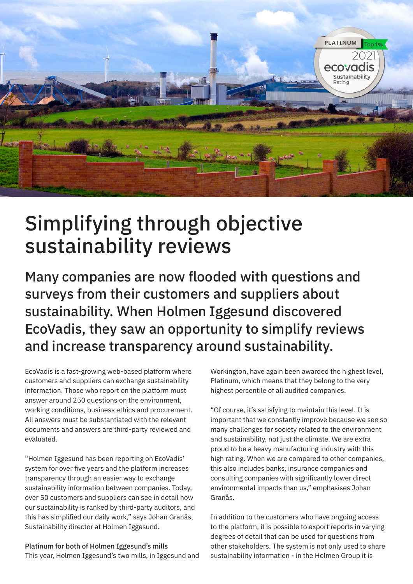

## Simplifying through objective sustainability reviews

Many companies are now flooded with questions and surveys from their customers and suppliers about sustainability. When Holmen Iggesund discovered EcoVadis, they saw an opportunity to simplify reviews and increase transparency around sustainability.

EcoVadis is a fast-growing web-based platform where customers and suppliers can exchange sustainability information. Those who report on the platform must answer around 250 questions on the environment, working conditions, business ethics and procurement. All answers must be substantiated with the relevant documents and answers are third-party reviewed and evaluated.

"Holmen Iggesund has been reporting on EcoVadis' system for over five years and the platform increases transparency through an easier way to exchange sustainability information between companies. Today, over 50 customers and suppliers can see in detail how our sustainability is ranked by third-party auditors, and this has simplified our daily work," says Johan Granås, Sustainability director at Holmen Iggesund.

Platinum for both of Holmen Iggesund's mills This year, Holmen Iggesund's two mills, in Iggesund and Workington, have again been awarded the highest level, Platinum, which means that they belong to the very highest percentile of all audited companies.

"Of course, it's satisfying to maintain this level. It is important that we constantly improve because we see so many challenges for society related to the environment and sustainability, not just the climate. We are extra proud to be a heavy manufacturing industry with this high rating. When we are compared to other companies, this also includes banks, insurance companies and consulting companies with significantly lower direct environmental impacts than us," emphasises Johan Granås.

In addition to the customers who have ongoing access to the platform, it is possible to export reports in varying degrees of detail that can be used for questions from other stakeholders. The system is not only used to share sustainability information - in the Holmen Group it is